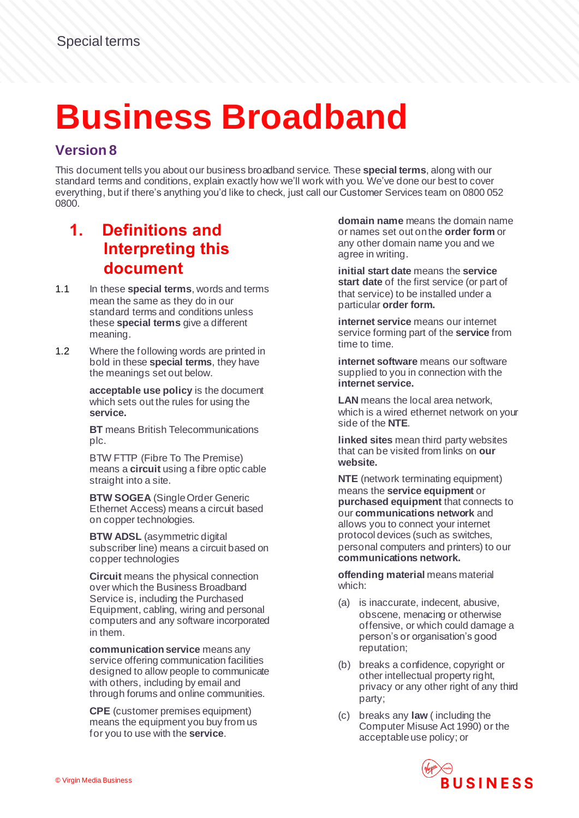# **Business Broadband**

#### **Version 8**

This document tells you about our business broadband service. These **special terms**, along with our standard terms and conditions, explain exactly how we'll work with you. We've done our best to cover everything, but if there's anything you'd like to check, just call our Customer Services team on 0800 052 0800.

# **1. Definitions and Interpreting this document**

- 1.1 In these **special terms**, words and terms mean the same as they do in our standard terms and conditions unless these **special terms** give a different meaning.
- 1.2 Where the following words are printed in bold in these **special terms**, they have the meanings set out below.

**acceptable use policy** is the document which sets out the rules for using the **service.**

**BT** means British Telecommunications plc.

BTW FTTP (Fibre To The Premise) means a **circuit** using a fibre optic cable straight into a site.

**BTW SOGEA** (Single Order Generic Ethernet Access) means a circuit based on copper technologies.

**BTW ADSL** (asymmetric digital subscriber line) means a circuit based on copper technologies

**Circuit** means the physical connection over which the Business Broadband Service is, including the Purchased Equipment, cabling, wiring and personal computers and any software incorporated in them.

**communication service** means any service offering communication facilities designed to allow people to communicate with others, including by email and through forums and online communities.

**CPE** (customer premises equipment) means the equipment you buy from us for you to use with the **service**.

**domain name** means the domain name or names set out on the **order form** or any other domain name you and we agree in writing.

**initial start date** means the **service start date** of the first service (or part of that service) to be installed under a particular **order form.**

**internet service** means our internet service forming part of the **service** from time to time.

**internet software** means our software supplied to you in connection with the **internet service.**

**LAN** means the local area network, which is a wired ethernet network on your side of the **NTE**.

**linked sites** mean third party websites that can be visited from links on **our website.** 

**NTE** (network terminating equipment) means the **service equipment** or **purchased equipment** that connects to our **communications network** and allows you to connect your internet protocol devices (such as switches, personal computers and printers) to our **communications network.**

**offending material** means material which:

- (a) is inaccurate, indecent, abusive, obscene, menacing or otherwise offensive, or which could damage a person's or organisation's good reputation;
- (b) breaks a confidence, copyright or other intellectual property right, privacy or any other right of any third party;
- (c) breaks any **law** ( including the Computer Misuse Act 1990) or the acceptable use policy; or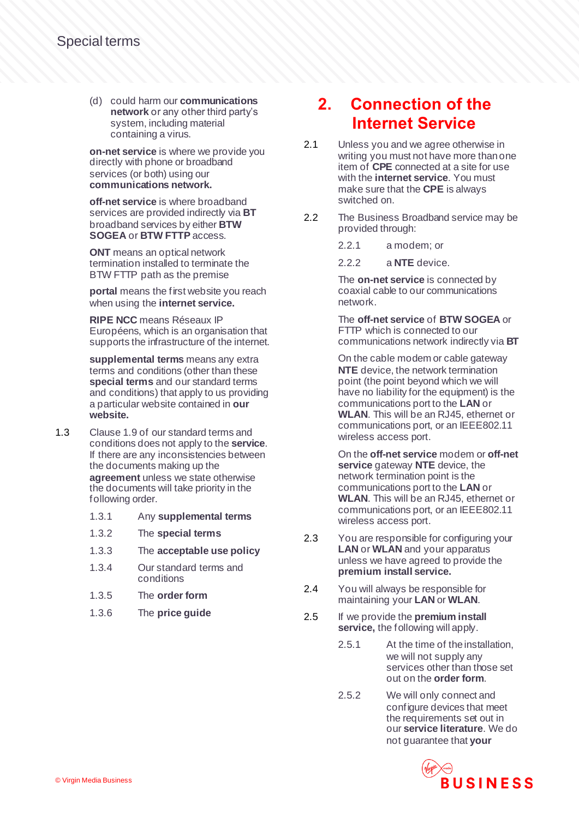(d) could harm our **communications network** or any other third party's system, including material containing a virus.

**on-net service** is where we provide you directly with phone or broadband services (or both) using our **communications network.**

**off-net service** is where broadband services are provided indirectly via **BT** broadband services by either **BTW SOGEA** or **BTW FTTP** access.

**ONT** means an optical network termination installed to terminate the BTW FTTP path as the premise

**portal** means the first website you reach when using the **internet service.**

**RIPE NCC** means Réseaux IP Européens, which is an organisation that supports the infrastructure of the internet.

**supplemental terms** means any extra terms and conditions (other than these **special terms** and our standard terms and conditions) that apply to us providing a particular website contained in **our website.**

- 1.3 Clause 1.9 of our standard terms and conditions does not apply to the **service**. If there are any inconsistencies between the documents making up the **agreement** unless we state otherwise the documents will take priority in the following order.
	- 1.3.1 Any **supplemental terms**
	- 1.3.2 The **special terms**
	- 1.3.3 The **acceptable use policy**
	- 1.3.4 Our standard terms and conditions
	- 1.3.5 The **order form**
	- 1.3.6 The **price guide**

#### **2. Connection of the Internet Service**

- 2.1 Unless you and we agree otherwise in writing you must not have more than one item of **CPE** connected at a site for use with the **internet service**. You must make sure that the **CPE** is always switched on.
- 2.2 The Business Broadband service may be provided through:
	- 2.2.1 a modem; or
	- 2.2.2 a **NTE** device.

The **on-net service** is connected by coaxial cable to our communications network.

The **off-net service** of **BTW SOGEA** or FTTP which is connected to our communications network indirectly via **BT**

On the cable modem or cable gateway **NTE** device, the network termination point (the point beyond which we will have no liability for the equipment) is the communications port to the **LAN** or **WLAN**. This will be an RJ45, ethernet or communications port, or an IEEE802.11 wireless access port.

On the **off-net service** modem or **off-net service** gateway **NTE** device, the network termination point is the communications port to the **LAN** or **WLAN**. This will be an RJ45, ethernet or communications port, or an IEEE802.11 wireless access port.

- 2.3 You are responsible for configuring your **LAN** or **WLAN** and your apparatus unless we have agreed to provide the **premium install service.**
- 2.4 You will always be responsible for maintaining your **LAN** or **WLAN**.
- 2.5 If we provide the **premium install service,** the following will apply.
	- 2.5.1 At the time of the installation, we will not supply any services other than those set out on the **order form**.
	- 2.5.2 We will only connect and configure devices that meet the requirements set out in our **service literature**. We do not guarantee that **your**

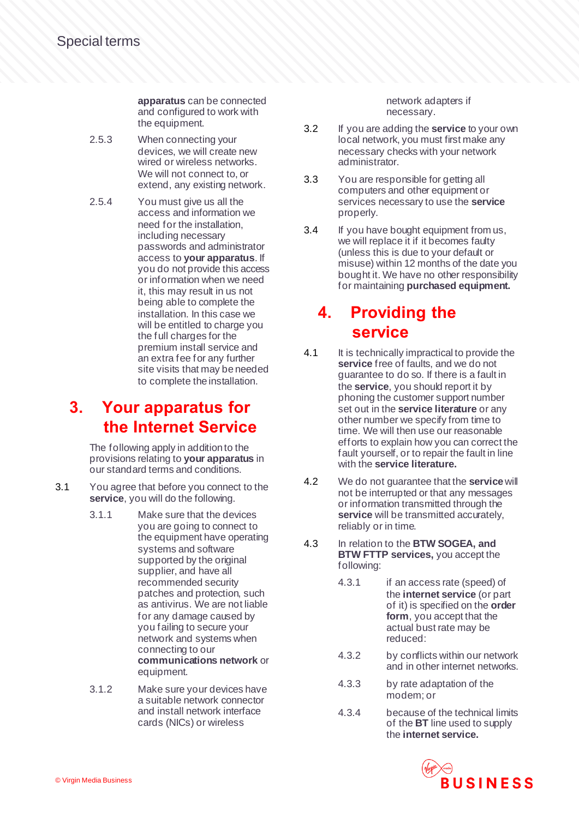**apparatus** can be connected and configured to work with the equipment.

- 2.5.3 When connecting your devices, we will create new wired or wireless networks. We will not connect to, or extend, any existing network.
- 2.5.4 You must give us all the access and information we need for the installation, including necessary passwords and administrator access to **your apparatus**. If you do not provide this access or information when we need it, this may result in us not being able to complete the installation. In this case we will be entitled to charge you the full charges for the premium install service and an extra fee for any further site visits that may be needed to complete the installation.

#### **3. Your apparatus for the Internet Service**

The following apply in addition to the provisions relating to **your apparatus** in our standard terms and conditions.

- 3.1 You agree that before you connect to the **service**, you will do the following.
	- 3.1.1 Make sure that the devices you are going to connect to the equipment have operating systems and software supported by the original supplier, and have all recommended security patches and protection, such as antivirus. We are not liable for any damage caused by you failing to secure your network and systems when connecting to our **communications network** or equipment.
	- 3.1.2 Make sure your devices have a suitable network connector and install network interface cards (NICs) or wireless

network adapters if necessary.

- 3.2 If you are adding the **service** to your own local network, you must first make any necessary checks with your network administrator.
- 3.3 You are responsible for getting all computers and other equipment or services necessary to use the **service** properly.
- 3.4 If you have bought equipment from us, we will replace it if it becomes faulty (unless this is due to your default or misuse) within 12 months of the date you bought it. We have no other responsibility for maintaining **purchased equipment.**

# **4. Providing the service**

- 4.1 It is technically impractical to provide the **service** free of faults, and we do not guarantee to do so. If there is a fault in the **service**, you should report it by phoning the customer support number set out in the **service literature** or any other number we specify from time to time. We will then use our reasonable efforts to explain how you can correct the fault yourself, or to repair the fault in line with the **service literature.**
- 4.2 We do not guarantee that the **service**will not be interrupted or that any messages or information transmitted through the service will be transmitted accurately, reliably or in time.
- 4.3 In relation to the **BTW SOGEA, and BTW FTTP services,** you accept the following:
	- 4.3.1 if an access rate (speed) of the **internet service** (or part of it) is specified on the **order form**, you accept that the actual bust rate may be reduced:
	- 4.3.2 by conflicts within our network and in other internet networks.
	- 4.3.3 by rate adaptation of the modem; or
	- 4.3.4 because of the technical limits of the **BT** line used to supply the **internet service.**

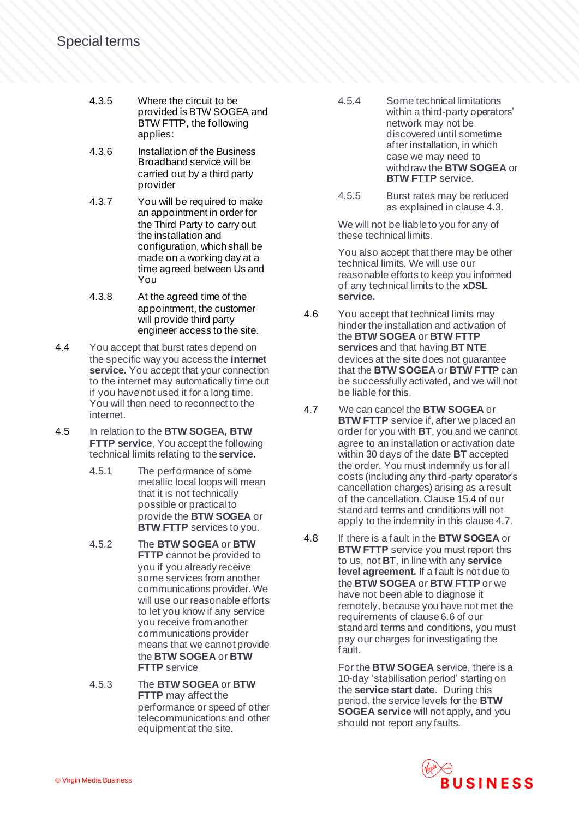- 4.3.5 Where the circuit to be provided is BTW SOGEA and BTW FTTP, the following applies:
- 4.3.6 Installation of the Business Broadband service will be carried out by a third party provider
- 4.3.7 You will be required to make an appointment in order for the Third Party to carry out the installation and configuration, which shall be made on a working day at a time agreed between Us and You
- 4.3.8 At the agreed time of the appointment, the customer will provide third party engineer access to the site.
- 4.4 You accept that burst rates depend on the specific way you access the **internet service.** You accept that your connection to the internet may automatically time out if you have not used it for a long time. You will then need to reconnect to the internet.
- 4.5 In relation to the **BTW SOGEA, BTW FTTP service**, You accept the following technical limits relating to the **service.**
	- 4.5.1 The performance of some metallic local loops will mean that it is not technically possible or practical to provide the **BTW SOGEA** or **BTW FTTP** services to you.
	- 4.5.2 The **BTW SOGEA** or **BTW FTTP** cannot be provided to you if you already receive some services from another communications provider. We will use our reasonable efforts to let you know if any service you receive from another communications provider means that we cannot provide the **BTW SOGEA** or **BTW FTTP** service
	- 4.5.3 The **BTW SOGEA** or **BTW FTTP** may affect the performance or speed of other telecommunications and other equipment at the site.
- 4.5.4 Some technical limitations within a third-party operators' network may not be discovered until sometime after installation, in which case we may need to withdraw the **BTW SOGEA** or **BTW FTTP** service.
- 4.5.5 Burst rates may be reduced as explained in clause 4.3.

We will not be liable to you for any of these technical limits.

You also accept that there may be other technical limits. We will use our reasonable efforts to keep you informed of any technical limits to the **xDSL service.**

- 4.6 You accept that technical limits may hinder the installation and activation of the **BTW SOGEA** or **BTW FTTP services** and that having **BT NTE** devices at the **site** does not guarantee that the **BTW SOGEA** or **BTW FTTP** can be successfully activated, and we will not be liable for this.
- 4.7 We can cancel the **BTW SOGEA** or **BTW FTTP** service if, after we placed an order for you with **BT**, you and we cannot agree to an installation or activation date within 30 days of the date **BT** accepted the order. You must indemnify us for all costs (including any third-party operator's cancellation charges) arising as a result of the cancellation. Clause 15.4 of our standard terms and conditions will not apply to the indemnity in this clause 4.7.
- 4.8 If there is a fault in the **BTW SOGEA** or **BTW FTTP** service you must report this to us, not **BT**, in line with any **service level agreement.** If a fault is not due to the **BTW SOGEA** or **BTW FTTP** or we have not been able to diagnose it remotely, because you have not met the requirements of clause 6.6 of our standard terms and conditions, you must pay our charges for investigating the fault.

For the **BTW SOGEA** service, there is a 10-day 'stabilisation period' starting on the **service start date**. During this period, the service levels for the **BTW SOGEA service** will not apply, and you should not report any faults.

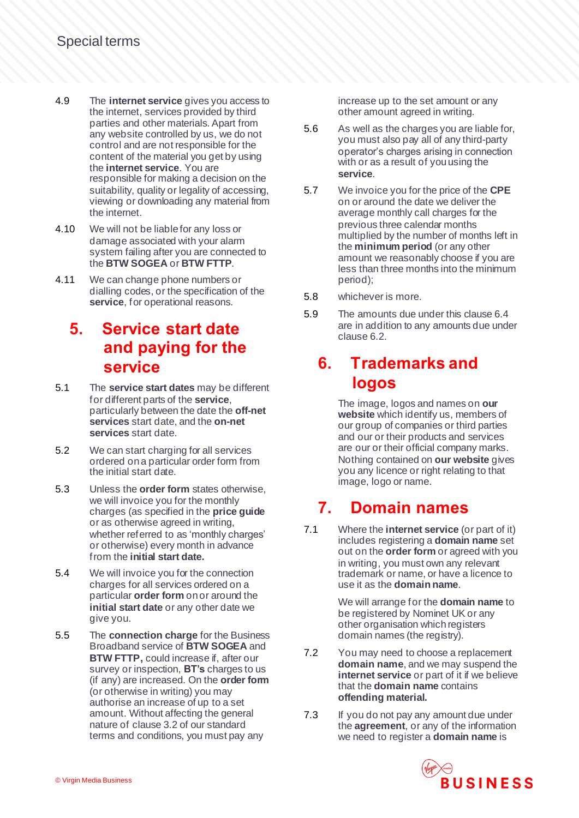- 4.9 The **internet service** gives you access to the internet, services provided by third parties and other materials. Apart from any website controlled by us, we do not control and are not responsible for the content of the material you get by using the **internet service**. You are responsible for making a decision on the suitability, quality or legality of accessing, viewing or downloading any material from the internet.
- 4.10 We will not be liable for any loss or damage associated with your alarm system failing after you are connected to the **BTW SOGEA** or **BTW FTTP**.
- 4.11 We can change phone numbers or dialling codes, or the specification of the **service**, for operational reasons.

#### **5. Service start date and paying for the service**

- 5.1 The **service start dates** may be different for different parts of the **service**, particularly between the date the **off-net services** start date, and the **on-net services** start date.
- 5.2 We can start charging for all services ordered on a particular order form from the initial start date.
- 5.3 Unless the **order form** states otherwise, we will invoice you for the monthly charges (as specified in the **price guide** or as otherwise agreed in writing, whether referred to as 'monthly charges' or otherwise) every month in advance from the **initial start date.**
- 5.4 We will invoice you for the connection charges for all services ordered on a particular **order form** on or around the **initial start date** or any other date we give you.
- 5.5 The **connection charge** for the Business Broadband service of **BTW SOGEA** and **BTW FTTP, could increase if, after our** survey or inspection, **BT's** charges to us (if any) are increased. On the **order form** (or otherwise in writing) you may authorise an increase of up to a set amount. Without affecting the general nature of clause 3.2 of our standard terms and conditions, you must pay any

increase up to the set amount or any other amount agreed in writing.

- 5.6 As well as the charges you are liable for, you must also pay all of any third-party operator's charges arising in connection with or as a result of you using the **service**.
- 5.7 We invoice you for the price of the **CPE** on or around the date we deliver the average monthly call charges for the previous three calendar months multiplied by the number of months left in the **minimum period** (or any other amount we reasonably choose if you are less than three months into the minimum period);
- 5.8 whichever is more.
- 5.9 The amounts due under this clause 6.4 are in addition to any amounts due under clause 6.2.

#### **6. Trademarks and logos**

The image, logos and names on **our website** which identify us, members of our group of companies or third parties and our or their products and services are our or their official company marks. Nothing contained on **our website** gives you any licence or right relating to that image, logo or name.

#### **7. Domain names**

7.1 Where the **internet service** (or part of it) includes registering a **domain name** set out on the **order form** or agreed with you in writing, you must own any relevant trademark or name, or have a licence to use it as the **domain name**.

> We will arrange for the **domain name** to be registered by Nominet UK or any other organisation which registers domain names (the registry).

- 7.2 You may need to choose a replacement **domain name**, and we may suspend the **internet service** or part of it if we believe that the **domain name** contains **offending material.**
- 7.3 If you do not pay any amount due under the **agreement**, or any of the information we need to register a **domain name** is

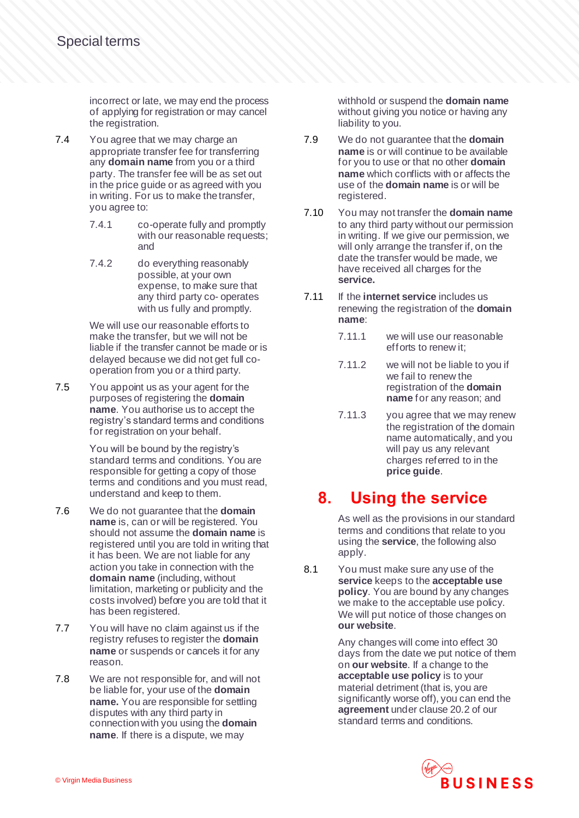incorrect or late, we may end the process of applying for registration or may cancel the registration.

- 7.4 You agree that we may charge an appropriate transfer fee for transferring any **domain name** from you or a third party. The transfer fee will be as set out in the price guide or as agreed with you in writing. For us to make the transfer, you agree to:
	- 7.4.1 co-operate fully and promptly with our reasonable requests; and
	- 7.4.2 do everything reasonably possible, at your own expense, to make sure that any third party co- operates with us fully and promptly.

We will use our reasonable efforts to make the transfer, but we will not be liable if the transfer cannot be made or is delayed because we did not get full cooperation from you or a third party.

7.5 You appoint us as your agent for the purposes of registering the **domain name**. You authorise us to accept the registry's standard terms and conditions for registration on your behalf.

> You will be bound by the registry's standard terms and conditions. You are responsible for getting a copy of those terms and conditions and you must read, understand and keep to them.

- 7.6 We do not guarantee that the **domain name** is, can or will be registered. You should not assume the **domain name** is registered until you are told in writing that it has been. We are not liable for any action you take in connection with the **domain name** (including, without limitation, marketing or publicity and the costs involved) before you are told that it has been registered.
- 7.7 You will have no claim against us if the registry refuses to register the **domain name** or suspends or cancels it for any reason.
- 7.8 We are not responsible for, and will not be liable for, your use of the **domain name.** You are responsible for settling disputes with any third party in connection with you using the **domain name**. If there is a dispute, we may

withhold or suspend the **domain name** without giving you notice or having any liability to you.

- 7.9 We do not guarantee that the **domain name** is or will continue to be available for you to use or that no other **domain name** which conflicts with or affects the use of the **domain name** is or will be registered.
- 7.10 You may not transfer the **domain name** to any third party without our permission in writing. If we give our permission, we will only arrange the transfer if, on the date the transfer would be made, we have received all charges for the **service.**
- 7.11 If the **internet service** includes us renewing the registration of the **domain name**:
	- 7.11.1 we will use our reasonable efforts to renew it;
	- 7.11.2 we will not be liable to you if we fail to renew the registration of the **domain name** for any reason; and
	- 7.11.3 you agree that we may renew the registration of the domain name automatically, and you will pay us any relevant charges referred to in the **price guide**.

# **8. Using the service**

As well as the provisions in our standard terms and conditions that relate to you using the **service**, the following also apply.

8.1 You must make sure any use of the **service** keeps to the **acceptable use policy**. You are bound by any changes we make to the acceptable use policy. We will put notice of those changes on **our website**.

> Any changes will come into effect 30 days from the date we put notice of them on **our website**. If a change to the **acceptable use policy** is to your material detriment (that is, you are significantly worse off), you can end the **agreement** under clause 20.2 of our standard terms and conditions.

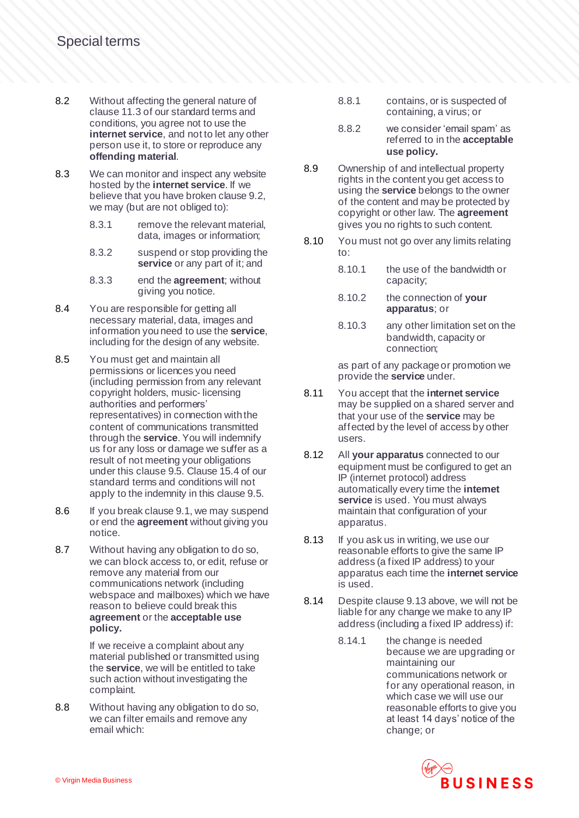- 8.2 Without affecting the general nature of clause 11.3 of our standard terms and conditions, you agree not to use the **internet service**, and not to let any other person use it, to store or reproduce any **offending material**.
- 8.3 We can monitor and inspect any website hosted by the **internet service**. If we believe that you have broken clause 9.2, we may (but are not obliged to):
	- 8.3.1 remove the relevant material, data, images or information;
	- 8.3.2 suspend or stop providing the **service** or any part of it; and
	- 8.3.3 end the **agreement**; without giving you notice.
- 8.4 You are responsible for getting all necessary material, data, images and information you need to use the **service**, including for the design of any website.
- 8.5 You must get and maintain all permissions or licences you need (including permission from any relevant copyright holders, music- licensing authorities and performers' representatives) in connection with the content of communications transmitted through the **service**. You will indemnify us for any loss or damage we suffer as a result of not meeting your obligations under this clause 9.5. Clause 15.4 of our standard terms and conditions will not apply to the indemnity in this clause 9.5.
- 8.6 If you break clause 9.1, we may suspend or end the **agreement** without giving you notice.
- 8.7 Without having any obligation to do so, we can block access to, or edit, refuse or remove any material from our communications network (including webspace and mailboxes) which we have reason to believe could break this **agreement** or the **acceptable use policy.**

If we receive a complaint about any material published or transmitted using the **service**, we will be entitled to take such action without investigating the complaint.

8.8 Without having any obligation to do so, we can filter emails and remove any email which:

- 8.8.1 contains, or is suspected of containing, a virus; or
- 8.8.2 we consider 'email spam' as referred to in the **acceptable use policy.**
- 8.9 Ownership of and intellectual property rights in the content you get access to using the **service** belongs to the owner of the content and may be protected by copyright or other law. The **agreement** gives you no rights to such content.
- 8.10 You must not go over any limits relating to:
	- 8.10.1 the use of the bandwidth or capacity;
	- 8.10.2 the connection of **your apparatus**; or
	- 8.10.3 any other limitation set on the bandwidth, capacity or connection;

as part of any package or promotion we provide the **service** under.

- 8.11 You accept that the **internet service** may be supplied on a shared server and that your use of the **service** may be affected by the level of access by other users.
- 8.12 All **your apparatus** connected to our equipment must be configured to get an IP (internet protocol) address automatically every time the **internet service** is used. You must always maintain that configuration of your apparatus.
- 8.13 If you ask us in writing, we use our reasonable efforts to give the same IP address (a fixed IP address) to your apparatus each time the **internet service** is used.
- 8.14 Despite clause 9.13 above, we will not be liable for any change we make to any IP address (including a fixed IP address) if:
	- 8.14.1 the change is needed because we are upgrading or maintaining our communications network or for any operational reason, in which case we will use our reasonable efforts to give you at least 14 days' notice of the change; or

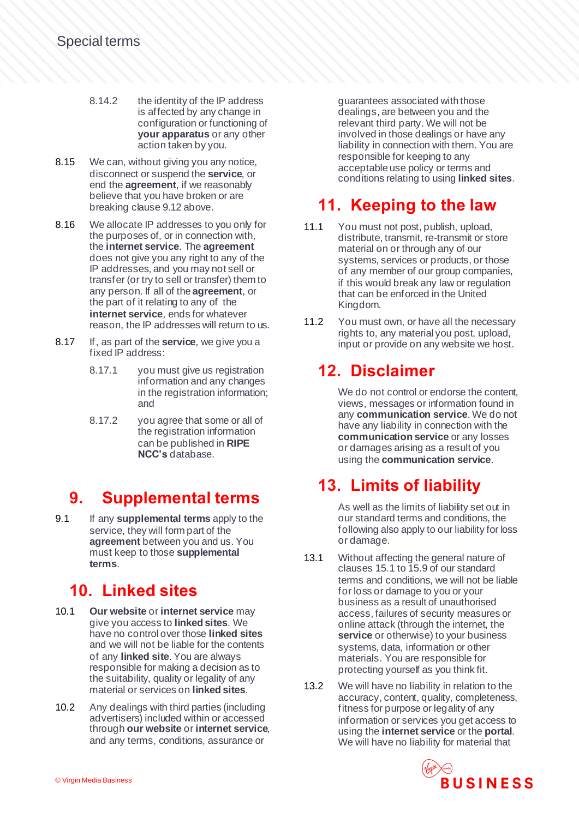- 8.14.2 the identity of the IP address is affected by any change in configuration or functioning of **your apparatus** or any other action taken by you.
- 8.15 We can, without giving you any notice, disconnect or suspend the **service**, or end the **agreement**, if we reasonably believe that you have broken or are breaking clause 9.12 above.
- 8.16 We allocate IP addresses to you only for the purposes of, or in connection with, the **internet service**. The **agreement** does not give you any right to any of the IP addresses, and you may not sell or transfer (or try to sell or transfer) them to any person. If all of the **agreement**, or the part of it relating to any of the **internet service**, ends for whatever reason, the IP addresses will return to us.
- 8.17 If, as part of the **service**, we give you a fixed IP address:
	- 8.17.1 you must give us registration information and any changes in the registration information; and
	- 8.17.2 you agree that some or all of the registration information can be published in **RIPE NCC's** database.

# **9. Supplemental terms**

9.1 If any **supplemental terms** apply to the service, they will form part of the **agreement** between you and us. You must keep to those **supplemental terms**.

# **10. Linked sites**

- 10.1 **Our website** or **internet service** may give you access to **linked sites**. We have no control over those **linked sites** and we will not be liable for the contents of any **linked site**. You are always responsible for making a decision as to the suitability, quality or legality of any material or services on **linked sites**.
- 10.2 Any dealings with third parties (including advertisers) included within or accessed through **our website** or **internet service**, and any terms, conditions, assurance or

guarantees associated with those dealings, are between you and the relevant third party. We will not be involved in those dealings or have any liability in connection with them. You are responsible for keeping to any acceptable use policy or terms and conditions relating to using **linked sites**.

# **11. Keeping to the law**

- 11.1 You must not post, publish, upload, distribute, transmit, re-transmit or store material on or through any of our systems, services or products, or those of any member of our group companies, if this would break any law or regulation that can be enforced in the United Kingdom.
- 11.2 You must own, or have all the necessary rights to, any material you post, upload, input or provide on any website we host.

# **12. Disclaimer**

We do not control or endorse the content. views, messages or information found in any **communication service**. We do not have any liability in connection with the **communication service** or any losses or damages arising as a result of you using the **communication service**.

# **13. Limits of liability**

As well as the limits of liability set out in our standard terms and conditions, the following also apply to our liability for loss or damage.

- 13.1 Without affecting the general nature of clauses 15.1 to 15.9 of our standard terms and conditions, we will not be liable for loss or damage to you or your business as a result of unauthorised access, failures of security measures or online attack (through the internet, the **service** or otherwise) to your business systems, data, information or other materials. You are responsible for protecting yourself as you think fit.
- 13.2 We will have no liability in relation to the accuracy, content, quality, completeness, fitness for purpose or legality of any information or services you get access to using the **internet service** or the **portal**. We will have no liability for material that

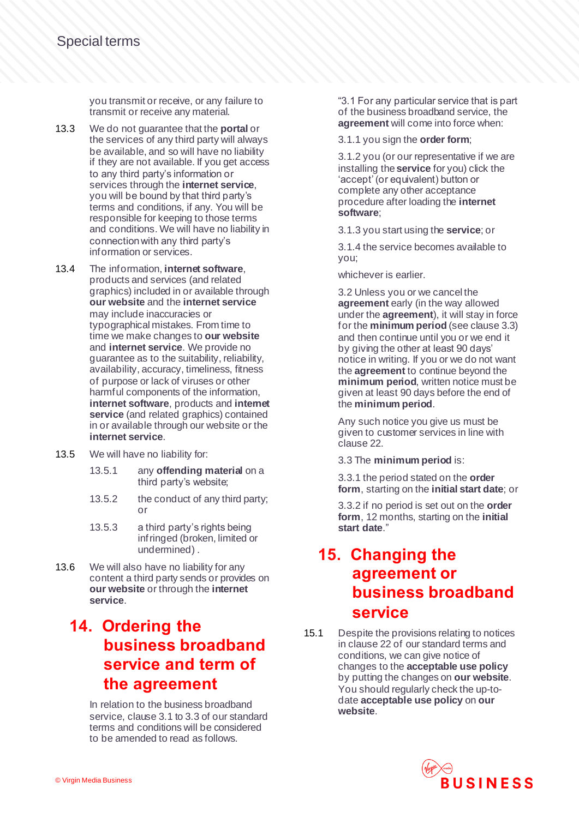you transmit or receive, or any failure to transmit or receive any material.

- 13.3 We do not guarantee that the **portal** or the services of any third party will always be available, and so will have no liability if they are not available. If you get access to any third party's information or services through the **internet service**, you will be bound by that third party's terms and conditions, if any. You will be responsible for keeping to those terms and conditions. We will have no liability in connection with any third party's information or services.
- 13.4 The information, **internet software**, products and services (and related graphics) included in or available through **our website** and the **internet service** may include inaccuracies or typographical mistakes. From time to time we make changes to **our website** and **internet service**. We provide no guarantee as to the suitability, reliability, availability, accuracy, timeliness, fitness of purpose or lack of viruses or other harmful components of the information, **internet software**, products and **internet service** (and related graphics) contained in or available through our website or the **internet service**.
- 13.5 We will have no liability for:
	- 13.5.1 any **offending material** on a third party's website;
	- 13.5.2 the conduct of any third party; or
	- 13.5.3 a third party's rights being infringed (broken, limited or undermined) .
- 13.6 We will also have no liability for any content a third party sends or provides on **our website** or through the **internet service**.

## **14. Ordering the business broadband service and term of the agreement**

In relation to the business broadband service, clause 3.1 to 3.3 of our standard terms and conditions will be considered to be amended to read as follows.

"3.1 For any particular service that is part of the business broadband service, the **agreement** will come into force when:

3.1.1 you sign the **order form**;

3.1.2 you (or our representative if we are installing the **service** for you) click the 'accept' (or equivalent) button or complete any other acceptance procedure after loading the **internet software**;

3.1.3 you start using the **service**; or

3.1.4 the service becomes available to you;

whichever is earlier.

3.2 Unless you or we cancel the **agreement** early (in the way allowed under the **agreement**), it will stay in force for the **minimum period** (see clause 3.3) and then continue until you or we end it by giving the other at least 90 days' notice in writing. If you or we do not want the **agreement** to continue beyond the **minimum period**, written notice must be given at least 90 days before the end of the **minimum period**.

Any such notice you give us must be given to customer services in line with clause 22.

3.3 The **minimum period** is:

3.3.1 the period stated on the **order form**, starting on the **initial start date**; or

3.3.2 if no period is set out on the **order form**, 12 months, starting on the **initial start date**."

#### **15. Changing the agreement or business broadband service**

15.1 Despite the provisions relating to notices in clause 22 of our standard terms and conditions, we can give notice of changes to the **acceptable use policy** by putting the changes on **our website**. You should regularly check the up-todate **acceptable use policy** on **our website**.

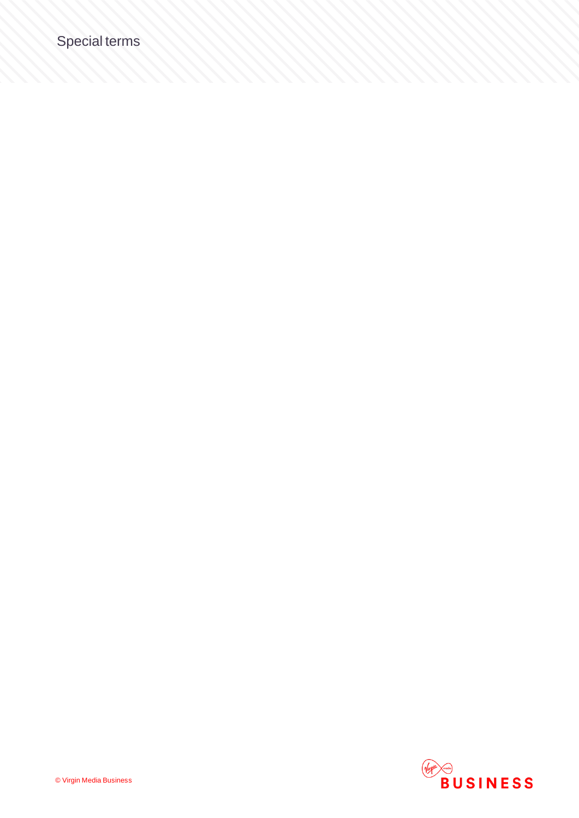# Special terms